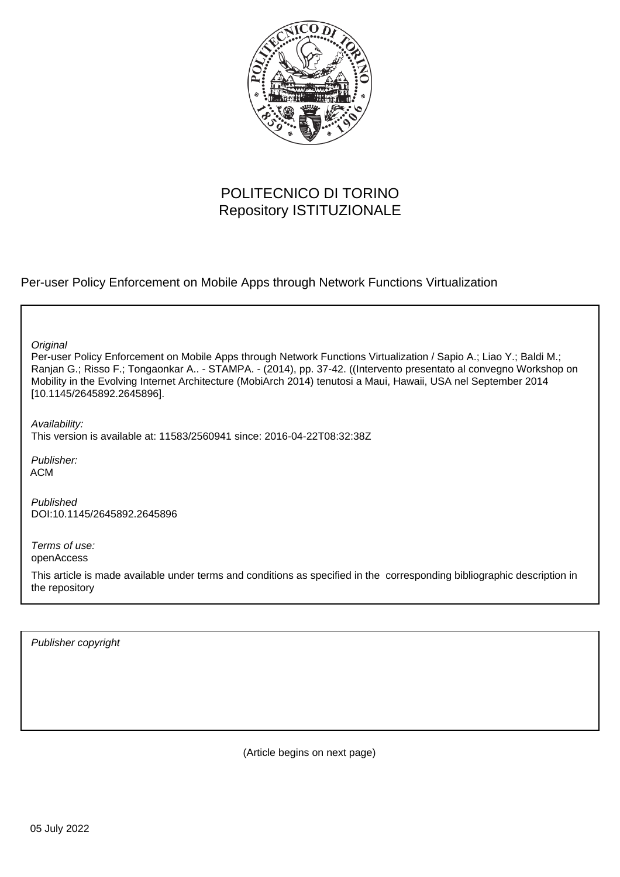

## POLITECNICO DI TORINO Repository ISTITUZIONALE

Per-user Policy Enforcement on Mobile Apps through Network Functions Virtualization

**Original** 

Per-user Policy Enforcement on Mobile Apps through Network Functions Virtualization / Sapio A.; Liao Y.; Baldi M.; Ranjan G.; Risso F.; Tongaonkar A.. - STAMPA. - (2014), pp. 37-42. ((Intervento presentato al convegno Workshop on Mobility in the Evolving Internet Architecture (MobiArch 2014) tenutosi a Maui, Hawaii, USA nel September 2014 [10.1145/2645892.2645896].

Availability: This version is available at: 11583/2560941 since: 2016-04-22T08:32:38Z

Publisher: ACM

Published DOI:10.1145/2645892.2645896

Terms of use: openAccess

This article is made available under terms and conditions as specified in the corresponding bibliographic description in the repository

Publisher copyright

(Article begins on next page)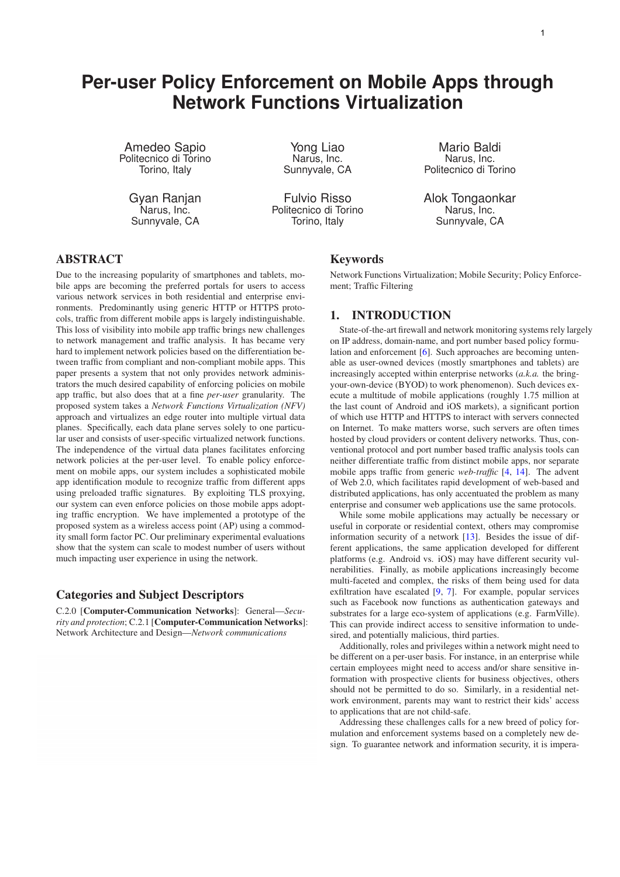# **Per-user Policy Enforcement on Mobile Apps through Network Functions Virtualization**

Amedeo Sapio Politecnico di Torino Torino, Italy

> Gyan Ranjan Narus, Inc. Sunnyvale, CA

Yong Liao Narus, Inc. Sunnyvale, CA

Fulvio Risso Politecnico di Torino Torino, Italy

Mario Baldi Narus, Inc. Politecnico di Torino

Alok Tongaonkar Narus, Inc. Sunnyvale, CA

## ABSTRACT

Due to the increasing popularity of smartphones and tablets, mobile apps are becoming the preferred portals for users to access various network services in both residential and enterprise environments. Predominantly using generic HTTP or HTTPS protocols, traffic from different mobile apps is largely indistinguishable. This loss of visibility into mobile app traffic brings new challenges to network management and traffic analysis. It has became very hard to implement network policies based on the differentiation between traffic from compliant and non-compliant mobile apps. This paper presents a system that not only provides network administrators the much desired capability of enforcing policies on mobile app traffic, but also does that at a fine *per-user* granularity. The proposed system takes a *Network Functions Virtualization (NFV)* approach and virtualizes an edge router into multiple virtual data planes. Specifically, each data plane serves solely to one particular user and consists of user-specific virtualized network functions. The independence of the virtual data planes facilitates enforcing network policies at the per-user level. To enable policy enforcement on mobile apps, our system includes a sophisticated mobile app identification module to recognize traffic from different apps using preloaded traffic signatures. By exploiting TLS proxying, our system can even enforce policies on those mobile apps adopting traffic encryption. We have implemented a prototype of the proposed system as a wireless access point (AP) using a commodity small form factor PC. Our preliminary experimental evaluations show that the system can scale to modest number of users without much impacting user experience in using the network.

#### Categories and Subject Descriptors

C.2.0 [Computer-Communication Networks]: General—*Security and protection*; C.2.1 [Computer-Communication Networks]: Network Architecture and Design—*Network communications*

## Keywords

Network Functions Virtualization; Mobile Security; Policy Enforcement; Traffic Filtering

## 1. INTRODUCTION

State-of-the-art firewall and network monitoring systems rely largely on IP address, domain-name, and port number based policy formulation and enforcement [6]. Such approaches are becoming untenable as user-owned devices (mostly smartphones and tablets) are increasingly accepted within enterprise networks (*a.k.a.* the bringyour-own-device (BYOD) to work phenomenon). Such devices execute a multitude of mobile applications (roughly 1.75 million at the last count of Android and iOS markets), a significant portion of which use HTTP and HTTPS to interact with servers connected on Internet. To make matters worse, such servers are often times hosted by cloud providers or content delivery networks. Thus, conventional protocol and port number based traffic analysis tools can neither differentiate traffic from distinct mobile apps, nor separate mobile apps traffic from generic *web-traffic* [4, 14]. The advent of Web 2.0, which facilitates rapid development of web-based and distributed applications, has only accentuated the problem as many enterprise and consumer web applications use the same protocols.

While some mobile applications may actually be necessary or useful in corporate or residential context, others may compromise information security of a network [13]. Besides the issue of different applications, the same application developed for different platforms (e.g. Android vs. iOS) may have different security vulnerabilities. Finally, as mobile applications increasingly become multi-faceted and complex, the risks of them being used for data exfiltration have escalated [9, 7]. For example, popular services such as Facebook now functions as authentication gateways and substrates for a large eco-system of applications (e.g. FarmVille). This can provide indirect access to sensitive information to undesired, and potentially malicious, third parties.

Additionally, roles and privileges within a network might need to be different on a per-user basis. For instance, in an enterprise while certain employees might need to access and/or share sensitive information with prospective clients for business objectives, others should not be permitted to do so. Similarly, in a residential network environment, parents may want to restrict their kids' access to applications that are not child-safe.

Addressing these challenges calls for a new breed of policy formulation and enforcement systems based on a completely new design. To guarantee network and information security, it is impera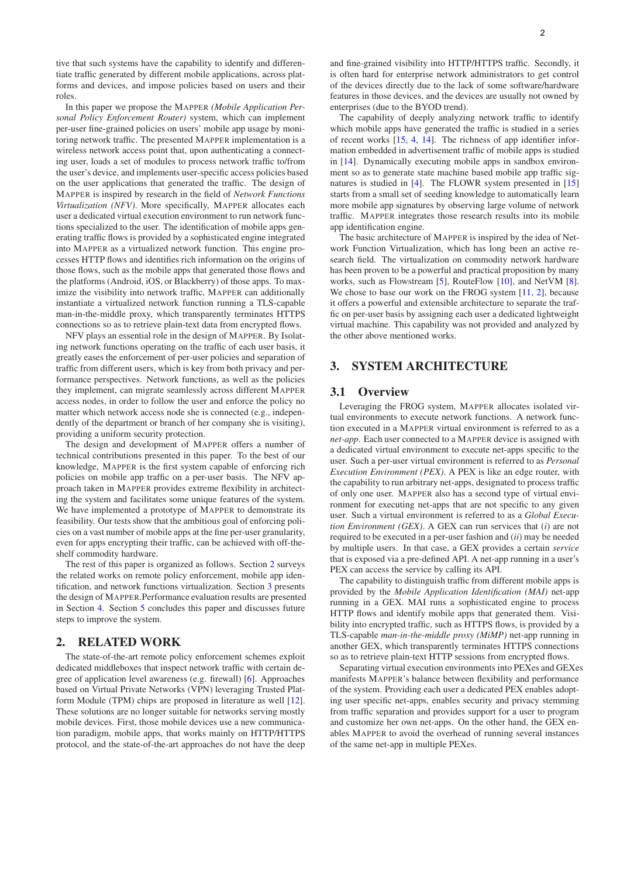tive that such systems have the capability to identify and differentiate traffic generated by different mobile applications, across platforms and devices, and impose policies based on users and their roles.

In this paper we propose the MAPPER *(Mobile Application Personal Policy Enforcement Router)* system, which can implement per-user fine-grained policies on users' mobile app usage by monitoring network traffic. The presented MAPPER implementation is a wireless network access point that, upon authenticating a connecting user, loads a set of modules to process network traffic to/from the user's device, and implements user-specific access policies based on the user applications that generated the traffic. The design of MAPPER is inspired by research in the field of *Network Functions Virtualization (NFV)*. More specifically, MAPPER allocates each user a dedicated virtual execution environment to run network functions specialized to the user. The identification of mobile apps generating traffic flows is provided by a sophisticated engine integrated into MAPPER as a virtualized network function. This engine processes HTTP flows and identifies rich information on the origins of those flows, such as the mobile apps that generated those flows and the platforms (Android, iOS, or Blackberry) of those apps. To maximize the visibility into network traffic, MAPPER can additionally instantiate a virtualized network function running a TLS-capable man-in-the-middle proxy, which transparently terminates HTTPS connections so as to retrieve plain-text data from encrypted flows.

NFV plays an essential role in the design of MAPPER. By Isolating network functions operating on the traffic of each user basis, it greatly eases the enforcement of per-user policies and separation of traffic from different users, which is key from both privacy and performance perspectives. Network functions, as well as the policies they implement, can migrate seamlessly across different MAPPER access nodes, in order to follow the user and enforce the policy no matter which network access node she is connected (e.g., independently of the department or branch of her company she is visiting), providing a uniform security protection.

The design and development of MAPPER offers a number of technical contributions presented in this paper. To the best of our knowledge, MAPPER is the first system capable of enforcing rich policies on mobile app traffic on a per-user basis. The NFV approach taken in MAPPER provides extreme flexibility in architecting the system and facilitates some unique features of the system. We have implemented a prototype of MAPPER to demonstrate its feasibility. Our tests show that the ambitious goal of enforcing policies on a vast number of mobile apps at the fine per-user granularity, even for apps encrypting their traffic, can be achieved with off-theshelf commodity hardware.

The rest of this paper is organized as follows. Section 2 surveys the related works on remote policy enforcement, mobile app identification, and network functions virtualization. Section 3 presents the design of MAPPER.Performance evaluation results are presented in Section 4. Section 5 concludes this paper and discusses future steps to improve the system.

#### 2. RELATED WORK

The state-of-the-art remote policy enforcement schemes exploit dedicated middleboxes that inspect network traffic with certain degree of application level awareness (e.g. firewall) [6]. Approaches based on Virtual Private Networks (VPN) leveraging Trusted Platform Module (TPM) chips are proposed in literature as well [12]. These solutions are no longer suitable for networks serving mostly mobile devices. First, those mobile devices use a new communication paradigm, mobile apps, that works mainly on HTTP/HTTPS protocol, and the state-of-the-art approaches do not have the deep

and fine-grained visibility into HTTP/HTTPS traffic. Secondly, it is often hard for enterprise network administrators to get control of the devices directly due to the lack of some software/hardware features in those devices, and the devices are usually not owned by enterprises (due to the BYOD trend).

The capability of deeply analyzing network traffic to identify which mobile apps have generated the traffic is studied in a series of recent works [15, 4, 14]. The richness of app identifier information embedded in advertisement traffic of mobile apps is studied in [14]. Dynamically executing mobile apps in sandbox environment so as to generate state machine based mobile app traffic signatures is studied in [4]. The FLOWR system presented in [15] starts from a small set of seeding knowledge to automatically learn more mobile app signatures by observing large volume of network traffic. MAPPER integrates those research results into its mobile app identification engine.

The basic architecture of MAPPER is inspired by the idea of Network Function Virtualization, which has long been an active research field. The virtualization on commodity network hardware has been proven to be a powerful and practical proposition by many works, such as Flowstream [5], RouteFlow [10], and NetVM [8]. We chose to base our work on the FROG system [11, 2], because it offers a powerful and extensible architecture to separate the traffic on per-user basis by assigning each user a dedicated lightweight virtual machine. This capability was not provided and analyzed by the other above mentioned works.

### 3. SYSTEM ARCHITECTURE

#### 3.1 Overview

Leveraging the FROG system, MAPPER allocates isolated virtual environments to execute network functions. A network function executed in a MAPPER virtual environment is referred to as a *net-app*. Each user connected to a MAPPER device is assigned with a dedicated virtual environment to execute net-apps specific to the user. Such a per-user virtual environment is referred to as *Personal Execution Environment (PEX)*. A PEX is like an edge router, with the capability to run arbitrary net-apps, designated to process traffic of only one user. MAPPER also has a second type of virtual environment for executing net-apps that are not specific to any given user. Such a virtual environment is referred to as a *Global Execution Environment (GEX)*. A GEX can run services that (*i*) are not required to be executed in a per-user fashion and (*ii*) may be needed by multiple users. In that case, a GEX provides a certain *service* that is exposed via a pre-defined API. A net-app running in a user's PEX can access the service by calling its API.

The capability to distinguish traffic from different mobile apps is provided by the *Mobile Application Identification (MAI)* net-app running in a GEX. MAI runs a sophisticated engine to process HTTP flows and identify mobile apps that generated them. Visibility into encrypted traffic, such as HTTPS flows, is provided by a TLS-capable *man-in-the-middle proxy (MiMP)* net-app running in another GEX, which transparently terminates HTTPS connections so as to retrieve plain-text HTTP sessions from encrypted flows.

Separating virtual execution environments into PEXes and GEXes manifests MAPPER's balance between flexibility and performance of the system. Providing each user a dedicated PEX enables adopting user specific net-apps, enables security and privacy stemming from traffic separation and provides support for a user to program and customize her own net-apps. On the other hand, the GEX enables MAPPER to avoid the overhead of running several instances of the same net-app in multiple PEXes.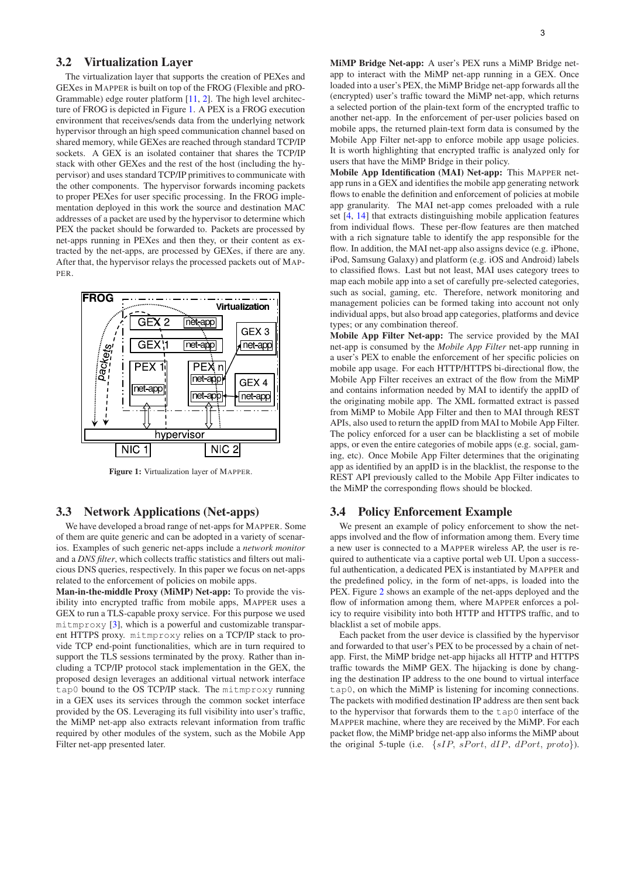#### 3.2 Virtualization Layer

The virtualization layer that supports the creation of PEXes and GEXes in MAPPER is built on top of the FROG (Flexible and pRO-Grammable) edge router platform [11, 2]. The high level architecture of FROG is depicted in Figure 1. A PEX is a FROG execution environment that receives/sends data from the underlying network hypervisor through an high speed communication channel based on shared memory, while GEXes are reached through standard TCP/IP sockets. A GEX is an isolated container that shares the TCP/IP stack with other GEXes and the rest of the host (including the hypervisor) and uses standard TCP/IP primitives to communicate with the other components. The hypervisor forwards incoming packets to proper PEXes for user specific processing. In the FROG implementation deployed in this work the source and destination MAC addresses of a packet are used by the hypervisor to determine which PEX the packet should be forwarded to. Packets are processed by net-apps running in PEXes and then they, or their content as extracted by the net-apps, are processed by GEXes, if there are any. After that, the hypervisor relays the processed packets out of MAP-PER.



Figure 1: Virtualization layer of MAPPER.

#### 3.3 Network Applications (Net-apps)

We have developed a broad range of net-apps for MAPPER. Some of them are quite generic and can be adopted in a variety of scenarios. Examples of such generic net-apps include a *network monitor* and a *DNS filter*, which collects traffic statistics and filters out malicious DNS queries, respectively. In this paper we focus on net-apps related to the enforcement of policies on mobile apps.

Man-in-the-middle Proxy (MiMP) Net-app: To provide the visibility into encrypted traffic from mobile apps, MAPPER uses a GEX to run a TLS-capable proxy service. For this purpose we used mitmproxy [3], which is a powerful and customizable transparent HTTPS proxy. mitmproxy relies on a TCP/IP stack to provide TCP end-point functionalities, which are in turn required to support the TLS sessions terminated by the proxy. Rather than including a TCP/IP protocol stack implementation in the GEX, the proposed design leverages an additional virtual network interface tap0 bound to the OS TCP/IP stack. The mitmproxy running in a GEX uses its services through the common socket interface provided by the OS. Leveraging its full visibility into user's traffic, the MiMP net-app also extracts relevant information from traffic required by other modules of the system, such as the Mobile App Filter net-app presented later.

MiMP Bridge Net-app: A user's PEX runs a MiMP Bridge netapp to interact with the MiMP net-app running in a GEX. Once loaded into a user's PEX, the MiMP Bridge net-app forwards all the (encrypted) user's traffic toward the MiMP net-app, which returns a selected portion of the plain-text form of the encrypted traffic to another net-app. In the enforcement of per-user policies based on mobile apps, the returned plain-text form data is consumed by the Mobile App Filter net-app to enforce mobile app usage policies. It is worth highlighting that encrypted traffic is analyzed only for users that have the MiMP Bridge in their policy.

Mobile App Identification (MAI) Net-app: This MAPPER netapp runs in a GEX and identifies the mobile app generating network flows to enable the definition and enforcement of policies at mobile app granularity. The MAI net-app comes preloaded with a rule set [4, 14] that extracts distinguishing mobile application features from individual flows. These per-flow features are then matched with a rich signature table to identify the app responsible for the flow. In addition, the MAI net-app also assigns device (e.g. iPhone, iPod, Samsung Galaxy) and platform (e.g. iOS and Android) labels to classified flows. Last but not least, MAI uses category trees to map each mobile app into a set of carefully pre-selected categories, such as social, gaming, etc. Therefore, network monitoring and management policies can be formed taking into account not only individual apps, but also broad app categories, platforms and device types; or any combination thereof.

Mobile App Filter Net-app: The service provided by the MAI net-app is consumed by the *Mobile App Filter* net-app running in a user's PEX to enable the enforcement of her specific policies on mobile app usage. For each HTTP/HTTPS bi-directional flow, the Mobile App Filter receives an extract of the flow from the MiMP and contains information needed by MAI to identify the appID of the originating mobile app. The XML formatted extract is passed from MiMP to Mobile App Filter and then to MAI through REST APIs, also used to return the appID from MAI to Mobile App Filter. The policy enforced for a user can be blacklisting a set of mobile apps, or even the entire categories of mobile apps (e.g. social, gaming, etc). Once Mobile App Filter determines that the originating app as identified by an appID is in the blacklist, the response to the REST API previously called to the Mobile App Filter indicates to the MiMP the corresponding flows should be blocked.

#### 3.4 Policy Enforcement Example

We present an example of policy enforcement to show the netapps involved and the flow of information among them. Every time a new user is connected to a MAPPER wireless AP, the user is required to authenticate via a captive portal web UI. Upon a successful authentication, a dedicated PEX is instantiated by MAPPER and the predefined policy, in the form of net-apps, is loaded into the PEX. Figure 2 shows an example of the net-apps deployed and the flow of information among them, where MAPPER enforces a policy to require visibility into both HTTP and HTTPS traffic, and to blacklist a set of mobile apps.

Each packet from the user device is classified by the hypervisor and forwarded to that user's PEX to be processed by a chain of netapp. First, the MiMP bridge net-app hijacks all HTTP and HTTPS traffic towards the MiMP GEX. The hijacking is done by changing the destination IP address to the one bound to virtual interface tap0, on which the MiMP is listening for incoming connections. The packets with modified destination IP address are then sent back to the hypervisor that forwards them to the tap0 interface of the MAPPER machine, where they are received by the MiMP. For each packet flow, the MiMP bridge net-app also informs the MiMP about the original 5-tuple (i.e.  $\{sIP, sPort, dIP, dPort, proto\}$ ).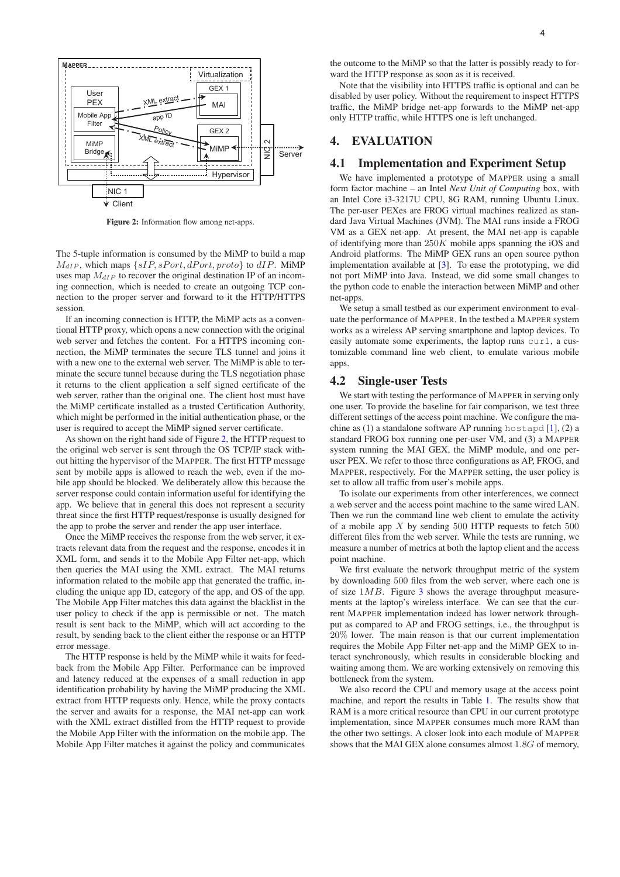

Figure 2: Information flow among net-apps.

The 5-tuple information is consumed by the MiMP to build a map  $M_{dIP}$ , which maps  $\{sIP, sPort, dPort, proto\}$  to  $dIP$ . MiMP uses map  $M_{dIP}$  to recover the original destination IP of an incoming connection, which is needed to create an outgoing TCP connection to the proper server and forward to it the HTTP/HTTPS session.

If an incoming connection is HTTP, the MiMP acts as a conventional HTTP proxy, which opens a new connection with the original web server and fetches the content. For a HTTPS incoming connection, the MiMP terminates the secure TLS tunnel and joins it with a new one to the external web server. The MiMP is able to terminate the secure tunnel because during the TLS negotiation phase it returns to the client application a self signed certificate of the web server, rather than the original one. The client host must have the MiMP certificate installed as a trusted Certification Authority, which might be performed in the initial authentication phase, or the user is required to accept the MiMP signed server certificate.

As shown on the right hand side of Figure 2, the HTTP request to the original web server is sent through the OS TCP/IP stack without hitting the hypervisor of the MAPPER. The first HTTP message sent by mobile apps is allowed to reach the web, even if the mobile app should be blocked. We deliberately allow this because the server response could contain information useful for identifying the app. We believe that in general this does not represent a security threat since the first HTTP request/response is usually designed for the app to probe the server and render the app user interface.

Once the MiMP receives the response from the web server, it extracts relevant data from the request and the response, encodes it in XML form, and sends it to the Mobile App Filter net-app, which then queries the MAI using the XML extract. The MAI returns information related to the mobile app that generated the traffic, including the unique app ID, category of the app, and OS of the app. The Mobile App Filter matches this data against the blacklist in the user policy to check if the app is permissible or not. The match result is sent back to the MiMP, which will act according to the result, by sending back to the client either the response or an HTTP error message.

The HTTP response is held by the MiMP while it waits for feedback from the Mobile App Filter. Performance can be improved and latency reduced at the expenses of a small reduction in app identification probability by having the MiMP producing the XML extract from HTTP requests only. Hence, while the proxy contacts the server and awaits for a response, the MAI net-app can work with the XML extract distilled from the HTTP request to provide the Mobile App Filter with the information on the mobile app. The Mobile App Filter matches it against the policy and communicates the outcome to the MiMP so that the latter is possibly ready to forward the HTTP response as soon as it is received.

Note that the visibility into HTTPS traffic is optional and can be disabled by user policy. Without the requirement to inspect HTTPS traffic, the MiMP bridge net-app forwards to the MiMP net-app only HTTP traffic, while HTTPS one is left unchanged.

#### 4. EVALUATION

#### 4.1 Implementation and Experiment Setup

We have implemented a prototype of MAPPER using a small form factor machine – an Intel *Next Unit of Computing* box, with an Intel Core i3-3217U CPU, 8G RAM, running Ubuntu Linux. The per-user PEXes are FROG virtual machines realized as standard Java Virtual Machines (JVM). The MAI runs inside a FROG VM as a GEX net-app. At present, the MAI net-app is capable of identifying more than  $250K$  mobile apps spanning the iOS and Android platforms. The MiMP GEX runs an open source python implementation available at [3]. To ease the prototyping, we did not port MiMP into Java. Instead, we did some small changes to the python code to enable the interaction between MiMP and other net-apps.

We setup a small testbed as our experiment environment to evaluate the performance of MAPPER. In the testbed a MAPPER system works as a wireless AP serving smartphone and laptop devices. To easily automate some experiments, the laptop runs curl, a customizable command line web client, to emulate various mobile apps.

#### 4.2 Single-user Tests

We start with testing the performance of MAPPER in serving only one user. To provide the baseline for fair comparison, we test three different settings of the access point machine. We configure the machine as  $(1)$  a standalone software AP running hostapd  $[1]$ ,  $(2)$  a standard FROG box running one per-user VM, and (3) a MAPPER system running the MAI GEX, the MiMP module, and one peruser PEX. We refer to those three configurations as AP, FROG, and MAPPER, respectively. For the MAPPER setting, the user policy is set to allow all traffic from user's mobile apps.

To isolate our experiments from other interferences, we connect a web server and the access point machine to the same wired LAN. Then we run the command line web client to emulate the activity of a mobile app  $X$  by sending 500 HTTP requests to fetch 500 different files from the web server. While the tests are running, we measure a number of metrics at both the laptop client and the access point machine.

We first evaluate the network throughput metric of the system by downloading 500 files from the web server, where each one is of size  $1MB$ . Figure 3 shows the average throughput measurements at the laptop's wireless interface. We can see that the current MAPPER implementation indeed has lower network throughput as compared to AP and FROG settings, i.e., the throughput is 20% lower. The main reason is that our current implementation requires the Mobile App Filter net-app and the MiMP GEX to interact synchronously, which results in considerable blocking and waiting among them. We are working extensively on removing this bottleneck from the system.

We also record the CPU and memory usage at the access point machine, and report the results in Table 1. The results show that RAM is a more critical resource than CPU in our current prototype implementation, since MAPPER consumes much more RAM than the other two settings. A closer look into each module of MAPPER shows that the MAI GEX alone consumes almost 1.8G of memory,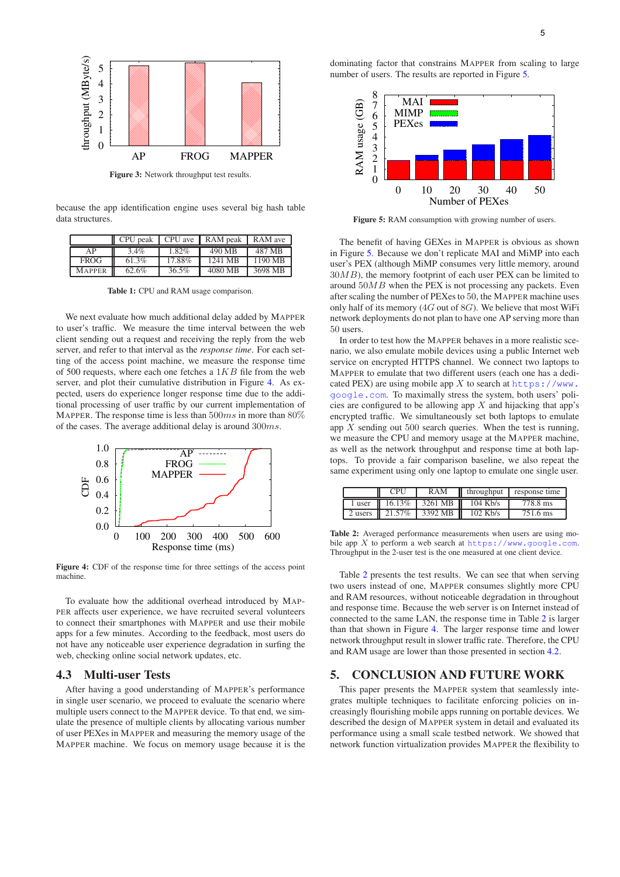

because the app identification engine uses several big hash table data structures.

|               | CPU peak |        | CPU ave RAM peak | RAM ave |
|---------------|----------|--------|------------------|---------|
| ΑP            | $3.4\%$  | 1.82%  | 490 MB           | 487 MB  |
| <b>FROG</b>   | 61.3%    | 17.88% | 1241 MB          | 1190 MB |
| <b>MAPPER</b> | 62.6%    | 36.5%  | 4080 MB          | 3698 MB |

Table 1: CPU and RAM usage comparison.

We next evaluate how much additional delay added by MAPPER to user's traffic. We measure the time interval between the web client sending out a request and receiving the reply from the web server, and refer to that interval as the *response time*. For each setting of the access point machine, we measure the response time of 500 requests, where each one fetches a  $1KB$  file from the web server, and plot their cumulative distribution in Figure 4. As expected, users do experience longer response time due to the additional processing of user traffic by our current implementation of MAPPER. The response time is less than  $500ms$  in more than  $80\%$ of the cases. The average additional delay is around 300ms.



Figure 4: CDF of the response time for three settings of the access point machine.

To evaluate how the additional overhead introduced by MAP-PER affects user experience, we have recruited several volunteers to connect their smartphones with MAPPER and use their mobile apps for a few minutes. According to the feedback, most users do not have any noticeable user experience degradation in surfing the web, checking online social network updates, etc.

#### 4.3 Multi-user Tests

After having a good understanding of MAPPER's performance in single user scenario, we proceed to evaluate the scenario where multiple users connect to the MAPPER device. To that end, we simulate the presence of multiple clients by allocating various number of user PEXes in MAPPER and measuring the memory usage of the MAPPER machine. We focus on memory usage because it is the

dominating factor that constrains MAPPER from scaling to large number of users. The results are reported in Figure 5.



Figure 5: RAM consumption with growing number of users.

The benefit of having GEXes in MAPPER is obvious as shown in Figure 5. Because we don't replicate MAI and MiMP into each user's PEX (although MiMP consumes very little memory, around  $30MB$ ), the memory footprint of each user PEX can be limited to around  $50MB$  when the PEX is not processing any packets. Even after scaling the number of PEXes to 50, the MAPPER machine uses only half of its memory ( $4G$  out of  $8G$ ). We believe that most WiFi network deployments do not plan to have one AP serving more than 50 users.

In order to test how the MAPPER behaves in a more realistic scenario, we also emulate mobile devices using a public Internet web service on encrypted HTTPS channel. We connect two laptops to MAPPER to emulate that two different users (each one has a dedicated PEX) are using mobile app  $X$  to search at [https://www.](https://www.google.com) [google.com](https://www.google.com). To maximally stress the system, both users' policies are configured to be allowing app  $X$  and hijacking that app's encrypted traffic. We simultaneously set both laptops to emulate app  $X$  sending out 500 search queries. When the test is running, we measure the CPU and memory usage at the MAPPER machine, as well as the network throughput and response time at both laptops. To provide a fair comparison baseline, we also repeat the same experiment using only one laptop to emulate one single user.

|         | CPU    | <b>RAM</b> | throughput | response time |
|---------|--------|------------|------------|---------------|
| user    | 16.13% | 3261 MB    | $104$ Kb/s | 778.8 ms      |
| 2 users | 21.57% | 3392 MB    | $102$ Kb/s | 751.6 ms      |

Table 2: Averaged performance measurements when users are using mobile app  $X$  to perform a web search at <https://www.google.com>. Throughput in the 2-user test is the one measured at one client device.

Table 2 presents the test results. We can see that when serving two users instead of one, MAPPER consumes slightly more CPU and RAM resources, without noticeable degradation in throughout and response time. Because the web server is on Internet instead of connected to the same LAN, the response time in Table 2 is larger than that shown in Figure 4. The larger response time and lower network throughput result in slower traffic rate. Therefore, the CPU and RAM usage are lower than those presented in section 4.2.

#### 5. CONCLUSION AND FUTURE WORK

This paper presents the MAPPER system that seamlessly integrates multiple techniques to facilitate enforcing policies on increasingly flourishing mobile apps running on portable devices. We described the design of MAPPER system in detail and evaluated its performance using a small scale testbed network. We showed that network function virtualization provides MAPPER the flexibility to